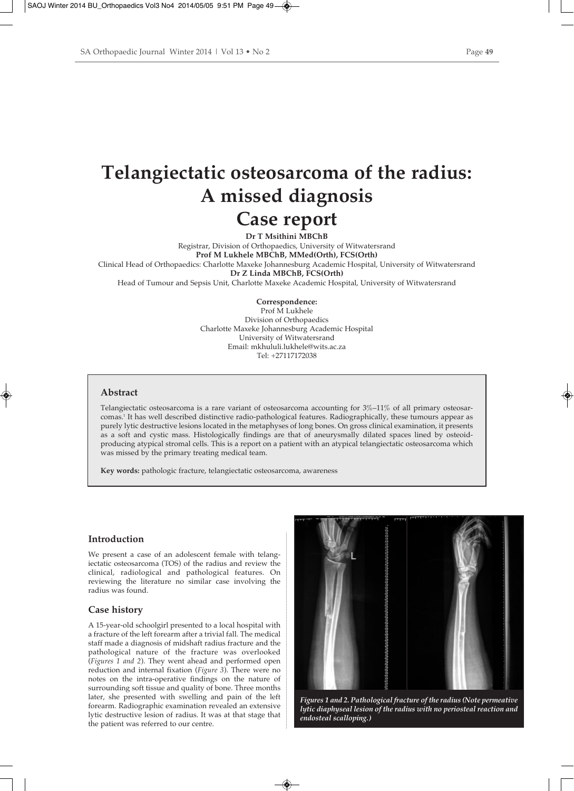# **Telangiectatic osteosarcoma of the radius: A missed diagnosis Case report**

**Dr T Msithini MBChB** Registrar, Division of Orthopaedics, University of Witwatersrand **Prof M Lukhele MBChB, MMed(Orth), FCS(Orth)** Clinical Head of Orthopaedics: Charlotte Maxeke Johannesburg Academic Hospital, University of Witwatersrand **Dr Z Linda MBChB, FCS(Orth)** Head of Tumour and Sepsis Unit, Charlotte Maxeke Academic Hospital, University of Witwatersrand

> **Correspondence:** Prof M Lukhele Division of Orthopaedics Charlotte Maxeke Johannesburg Academic Hospital University of Witwatersrand Email: mkhululi.lukhele@wits.ac.za Tel: +27117172038

#### **Abstract**

Telangiectatic osteosarcoma is a rare variant of osteosarcoma accounting for 3%–11% of all primary osteosarcomas.1 It has well described distinctive radio-pathological features. Radiographically, these tumours appear as purely lytic destructive lesions located in the metaphyses of long bones. On gross clinical examination, it presents as a soft and cystic mass. Histologically findings are that of aneurysmally dilated spaces lined by osteoidproducing atypical stromal cells. This is a report on a patient with an atypical telangiectatic osteosarcoma which was missed by the primary treating medical team.

**Key words:** pathologic fracture, telangiectatic osteosarcoma, awareness

## **Introduction**

We present a case of an adolescent female with telangiectatic osteosarcoma (TOS) of the radius and review the clinical, radiological and pathological features. On reviewing the literature no similar case involving the radius was found.

#### **Case history**

A 15-year-old schoolgirl presented to a local hospital with a fracture of the left forearm after a trivial fall. The medical staff made a diagnosis of midshaft radius fracture and the pathological nature of the fracture was overlooked (*Figures 1 and 2*). They went ahead and performed open reduction and internal fixation (*Figure 3*). There were no notes on the intra-operative findings on the nature of surrounding soft tissue and quality of bone. Three months later, she presented with swelling and pain of the left forearm. Radiographic examination revealed an extensive lytic destructive lesion of radius. It was at that stage that the patient was referred to our centre.



*Figures 1 and 2. Pathological fracture of the radius (Note permeative lytic diaphyseal lesion of the radius with no periosteal reaction and endosteal scalloping.)*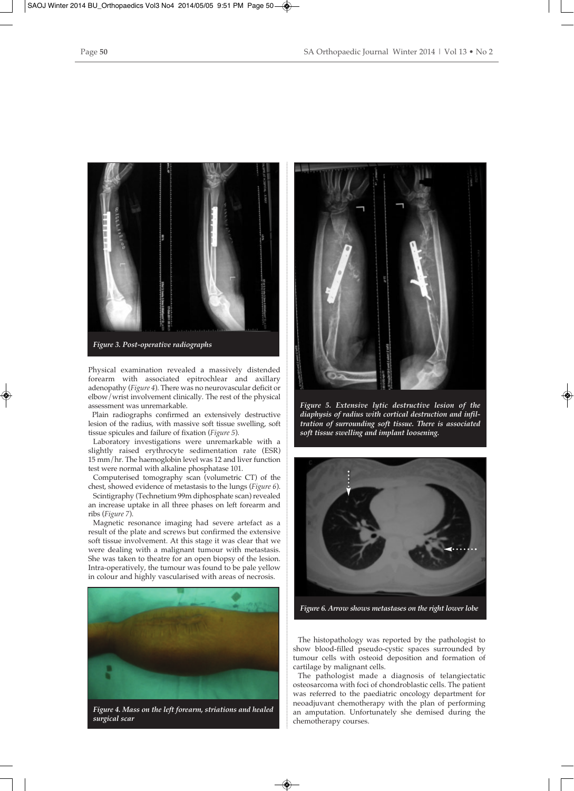

Physical examination revealed a massively distended forearm with associated epitrochlear and axillary adenopathy (*Figure 4*). There was no neurovascular deficit or elbow/wrist involvement clinically. The rest of the physical assessment was unremarkable.

Plain radiographs confirmed an extensively destructive lesion of the radius, with massive soft tissue swelling, soft tissue spicules and failure of fixation (*Figure 5*).

Laboratory investigations were unremarkable with a slightly raised erythrocyte sedimentation rate (ESR) 15 mm/hr. The haemoglobin level was 12 and liver function test were normal with alkaline phosphatase 101.

Computerised tomography scan (volumetric CT) of the chest, showed evidence of metastasis to the lungs (*Figure 6*).

Scintigraphy (Technetium 99m diphosphate scan) revealed an increase uptake in all three phases on left forearm and ribs (*Figure 7*).

Magnetic resonance imaging had severe artefact as a result of the plate and screws but confirmed the extensive soft tissue involvement. At this stage it was clear that we were dealing with a malignant tumour with metastasis. She was taken to theatre for an open biopsy of the lesion. Intra-operatively, the tumour was found to be pale yellow in colour and highly vascularised with areas of necrosis.



*Figure 4. Mass on the left forearm, striations and healed surgical scar*



*Figure 5. Extensive lytic destructive lesion of the diaphysis of radius with cortical destruction and infiltration of surrounding soft tissue. There is associated soft tissue swelling and implant loosening.*



*Figure 6. Arrow shows metastases on the right lower lobe*

The histopathology was reported by the pathologist to show blood-filled pseudo-cystic spaces surrounded by tumour cells with osteoid deposition and formation of cartilage by malignant cells.

The pathologist made a diagnosis of telangiectatic osteosarcoma with foci of chondroblastic cells. The patient was referred to the paediatric oncology department for neoadjuvant chemotherapy with the plan of performing an amputation. Unfortunately she demised during the chemotherapy courses.